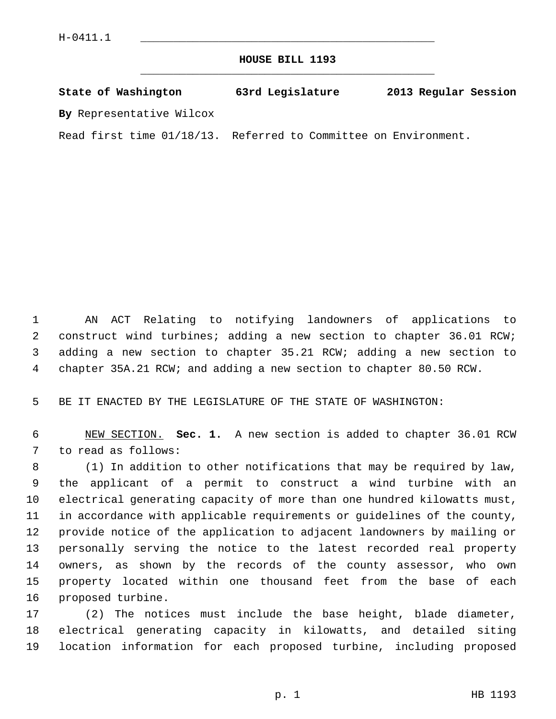**HOUSE BILL 1193** \_\_\_\_\_\_\_\_\_\_\_\_\_\_\_\_\_\_\_\_\_\_\_\_\_\_\_\_\_\_\_\_\_\_\_\_\_\_\_\_\_\_\_\_\_

| State of Washington      | 63rd Legislature | 2013 Regular Session |
|--------------------------|------------------|----------------------|
| By Representative Wilcox |                  |                      |

Read first time 01/18/13. Referred to Committee on Environment.

 1 AN ACT Relating to notifying landowners of applications to 2 construct wind turbines; adding a new section to chapter 36.01 RCW; 3 adding a new section to chapter 35.21 RCW; adding a new section to 4 chapter 35A.21 RCW; and adding a new section to chapter 80.50 RCW.

5 BE IT ENACTED BY THE LEGISLATURE OF THE STATE OF WASHINGTON:

 6 NEW SECTION. **Sec. 1.** A new section is added to chapter 36.01 RCW 7 to read as follows:

 8 (1) In addition to other notifications that may be required by law, 9 the applicant of a permit to construct a wind turbine with an 10 electrical generating capacity of more than one hundred kilowatts must, 11 in accordance with applicable requirements or guidelines of the county, 12 provide notice of the application to adjacent landowners by mailing or 13 personally serving the notice to the latest recorded real property 14 owners, as shown by the records of the county assessor, who own 15 property located within one thousand feet from the base of each 16 proposed turbine.

17 (2) The notices must include the base height, blade diameter, 18 electrical generating capacity in kilowatts, and detailed siting 19 location information for each proposed turbine, including proposed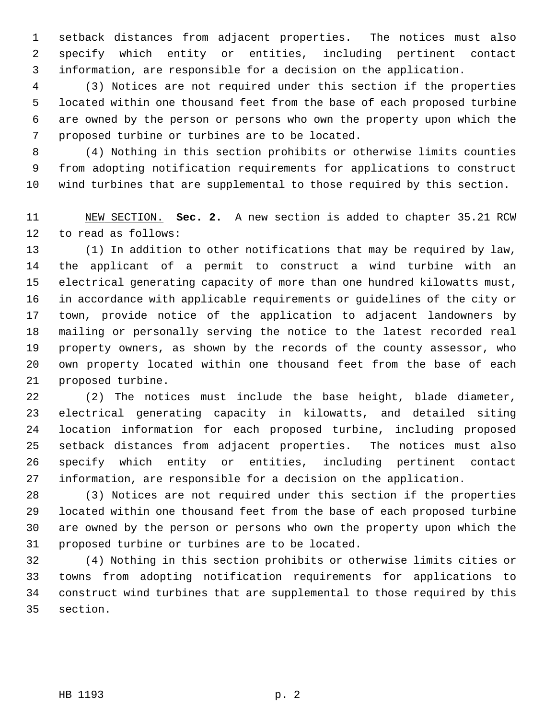1 setback distances from adjacent properties. The notices must also 2 specify which entity or entities, including pertinent contact 3 information, are responsible for a decision on the application.

 4 (3) Notices are not required under this section if the properties 5 located within one thousand feet from the base of each proposed turbine 6 are owned by the person or persons who own the property upon which the 7 proposed turbine or turbines are to be located.

 8 (4) Nothing in this section prohibits or otherwise limits counties 9 from adopting notification requirements for applications to construct 10 wind turbines that are supplemental to those required by this section.

11 NEW SECTION. **Sec. 2.** A new section is added to chapter 35.21 RCW 12 to read as follows:

13 (1) In addition to other notifications that may be required by law, 14 the applicant of a permit to construct a wind turbine with an 15 electrical generating capacity of more than one hundred kilowatts must, 16 in accordance with applicable requirements or guidelines of the city or 17 town, provide notice of the application to adjacent landowners by 18 mailing or personally serving the notice to the latest recorded real 19 property owners, as shown by the records of the county assessor, who 20 own property located within one thousand feet from the base of each 21 proposed turbine.

22 (2) The notices must include the base height, blade diameter, 23 electrical generating capacity in kilowatts, and detailed siting 24 location information for each proposed turbine, including proposed 25 setback distances from adjacent properties. The notices must also 26 specify which entity or entities, including pertinent contact 27 information, are responsible for a decision on the application.

28 (3) Notices are not required under this section if the properties 29 located within one thousand feet from the base of each proposed turbine 30 are owned by the person or persons who own the property upon which the 31 proposed turbine or turbines are to be located.

32 (4) Nothing in this section prohibits or otherwise limits cities or 33 towns from adopting notification requirements for applications to 34 construct wind turbines that are supplemental to those required by this 35 section.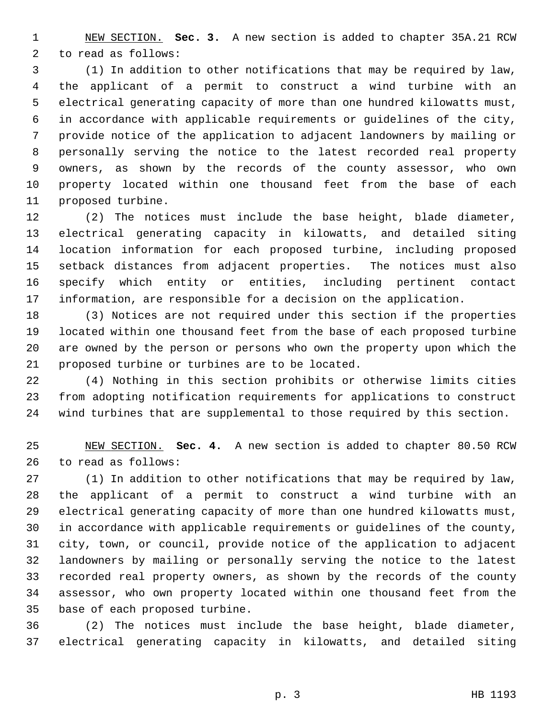1 NEW SECTION. **Sec. 3.** A new section is added to chapter 35A.21 RCW 2 to read as follows:

 3 (1) In addition to other notifications that may be required by law, 4 the applicant of a permit to construct a wind turbine with an 5 electrical generating capacity of more than one hundred kilowatts must, 6 in accordance with applicable requirements or guidelines of the city, 7 provide notice of the application to adjacent landowners by mailing or 8 personally serving the notice to the latest recorded real property 9 owners, as shown by the records of the county assessor, who own 10 property located within one thousand feet from the base of each 11 proposed turbine.

12 (2) The notices must include the base height, blade diameter, 13 electrical generating capacity in kilowatts, and detailed siting 14 location information for each proposed turbine, including proposed 15 setback distances from adjacent properties. The notices must also 16 specify which entity or entities, including pertinent contact 17 information, are responsible for a decision on the application.

18 (3) Notices are not required under this section if the properties 19 located within one thousand feet from the base of each proposed turbine 20 are owned by the person or persons who own the property upon which the 21 proposed turbine or turbines are to be located.

22 (4) Nothing in this section prohibits or otherwise limits cities 23 from adopting notification requirements for applications to construct 24 wind turbines that are supplemental to those required by this section.

25 NEW SECTION. **Sec. 4.** A new section is added to chapter 80.50 RCW 26 to read as follows:

27 (1) In addition to other notifications that may be required by law, 28 the applicant of a permit to construct a wind turbine with an 29 electrical generating capacity of more than one hundred kilowatts must, 30 in accordance with applicable requirements or guidelines of the county, 31 city, town, or council, provide notice of the application to adjacent 32 landowners by mailing or personally serving the notice to the latest 33 recorded real property owners, as shown by the records of the county 34 assessor, who own property located within one thousand feet from the 35 base of each proposed turbine.

36 (2) The notices must include the base height, blade diameter, 37 electrical generating capacity in kilowatts, and detailed siting